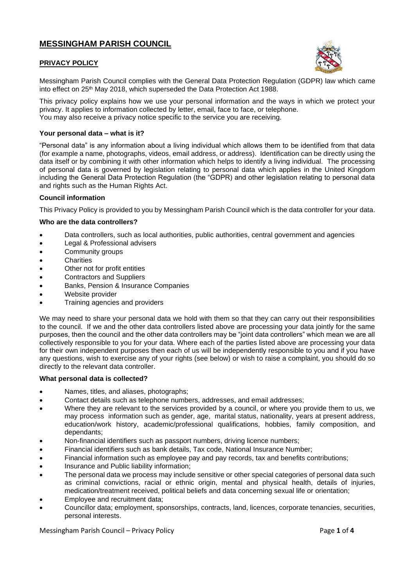# **MESSINGHAM PARISH COUNCIL**

## **PRIVACY POLICY**



Messingham Parish Council complies with the General Data Protection Regulation (GDPR) law which came into effect on 25th May 2018, which superseded the Data Protection Act 1988.

This privacy policy explains how we use your personal information and the ways in which we protect your privacy. It applies to information collected by letter, email, face to face, or telephone. You may also receive a privacy notice specific to the service you are receiving.

## **Your personal data – what is it?**

"Personal data" is any information about a living individual which allows them to be identified from that data (for example a name, photographs, videos, email address, or address). Identification can be directly using the data itself or by combining it with other information which helps to identify a living individual. The processing of personal data is governed by legislation relating to personal data which applies in the United Kingdom including the General Data Protection Regulation (the "GDPR) and other legislation relating to personal data and rights such as the Human Rights Act.

## **Council information**

This Privacy Policy is provided to you by Messingham Parish Council which is the data controller for your data.

#### **Who are the data controllers?**

- Data controllers, such as local authorities, public authorities, central government and agencies
- Legal & Professional advisers
- Community groups
- **Charities**
- Other not for profit entities
- Contractors and Suppliers
- Banks, Pension & Insurance Companies
- Website provider
- Training agencies and providers

We may need to share your personal data we hold with them so that they can carry out their responsibilities to the council. If we and the other data controllers listed above are processing your data jointly for the same purposes, then the council and the other data controllers may be "joint data controllers" which mean we are all collectively responsible to you for your data. Where each of the parties listed above are processing your data for their own independent purposes then each of us will be independently responsible to you and if you have any questions, wish to exercise any of your rights (see below) or wish to raise a complaint, you should do so directly to the relevant data controller.

#### **What personal data is collected?**

- Names, titles, and aliases, photographs;
- Contact details such as telephone numbers, addresses, and email addresses;
- Where they are relevant to the services provided by a council, or where you provide them to us, we may process information such as gender, age, marital status, nationality, years at present address, education/work history, academic/professional qualifications, hobbies, family composition, and dependants;
- Non-financial identifiers such as passport numbers, driving licence numbers;
- Financial identifiers such as bank details, Tax code, National Insurance Number;
- Financial information such as employee pay and pay records, tax and benefits contributions;
- Insurance and Public liability information;
- The personal data we process may include sensitive or other special categories of personal data such as criminal convictions, racial or ethnic origin, mental and physical health, details of injuries, medication/treatment received, political beliefs and data concerning sexual life or orientation;
- Employee and recruitment data;
- Councillor data; employment, sponsorships, contracts, land, licences, corporate tenancies, securities, personal interests.

Messingham Parish Council – Privacy Policy Page **1** of **4**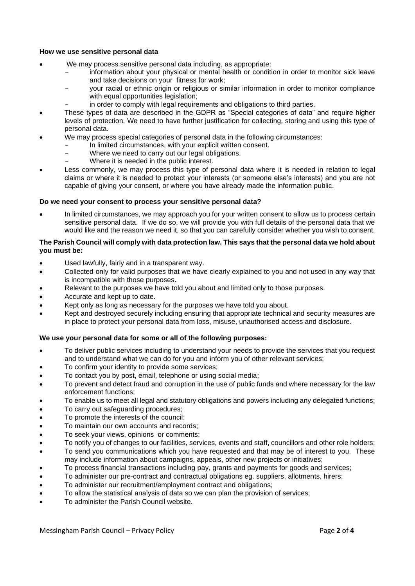## **How we use sensitive personal data**

- We may process sensitive personal data including, as appropriate:
	- information about your physical or mental health or condition in order to monitor sick leave and take decisions on your fitness for work;
	- your racial or ethnic origin or religious or similar information in order to monitor compliance with equal opportunities legislation;
	- in order to comply with legal requirements and obligations to third parties.
- These types of data are described in the GDPR as "Special categories of data" and require higher levels of protection. We need to have further justification for collecting, storing and using this type of personal data.
- We may process special categories of personal data in the following circumstances:
	- In limited circumstances, with your explicit written consent.
	- Where we need to carry out our legal obligations.
	- Where it is needed in the public interest.
- Less commonly, we may process this type of personal data where it is needed in relation to legal claims or where it is needed to protect your interests (or someone else's interests) and you are not capable of giving your consent, or where you have already made the information public.

#### **Do we need your consent to process your sensitive personal data?**

• In limited circumstances, we may approach you for your written consent to allow us to process certain sensitive personal data. If we do so, we will provide you with full details of the personal data that we would like and the reason we need it, so that you can carefully consider whether you wish to consent.

## **The Parish Council will comply with data protection law. This says that the personal data we hold about you must be:**

- Used lawfully, fairly and in a transparent way.
- Collected only for valid purposes that we have clearly explained to you and not used in any way that is incompatible with those purposes.
- Relevant to the purposes we have told you about and limited only to those purposes.
- Accurate and kept up to date.
- Kept only as long as necessary for the purposes we have told you about.
- Kept and destroyed securely including ensuring that appropriate technical and security measures are in place to protect your personal data from loss, misuse, unauthorised access and disclosure.

#### **We use your personal data for some or all of the following purposes:**

- To deliver public services including to understand your needs to provide the services that you request and to understand what we can do for you and inform you of other relevant services;
- To confirm your identity to provide some services;
- To contact you by post, email, telephone or using social media;
- To prevent and detect fraud and corruption in the use of public funds and where necessary for the law enforcement functions;
- To enable us to meet all legal and statutory obligations and powers including any delegated functions;
- To carry out safeguarding procedures;
- To promote the interests of the council;
- To maintain our own accounts and records;
- To seek your views, opinions or comments;
- To notify you of changes to our facilities, services, events and staff, councillors and other role holders;
- To send you communications which you have requested and that may be of interest to you. These may include information about campaigns, appeals, other new projects or initiatives;
- To process financial transactions including pay, grants and payments for goods and services;
- To administer our pre-contract and contractual obligations eg. suppliers, allotments, hirers;
- To administer our recruitment/employment contract and obligations;
- To allow the statistical analysis of data so we can plan the provision of services;
- To administer the Parish Council website.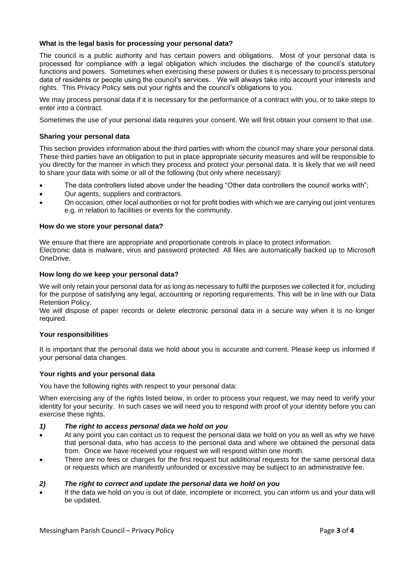## **What is the legal basis for processing your personal data?**

The council is a public authority and has certain powers and obligations. Most of your personal data is processed for compliance with a legal obligation which includes the discharge of the council's statutory functions and powers. Sometimes when exercising these powers or duties it is necessary to process personal data of residents or people using the council's services. We will always take into account your interests and rights. This Privacy Policy sets out your rights and the council's obligations to you.

We may process personal data if it is necessary for the performance of a contract with you, or to take steps to enter into a contract.

Sometimes the use of your personal data requires your consent. We will first obtain your consent to that use.

# **Sharing your personal data**

This section provides information about the third parties with whom the council may share your personal data. These third parties have an obligation to put in place appropriate security measures and will be responsible to you directly for the manner in which they process and protect your personal data. It is likely that we will need to share your data with some or all of the following (but only where necessary):

- The data controllers listed above under the heading "Other data controllers the council works with";
- Our agents, suppliers and contractors.
- On occasion, other local authorities or not for profit bodies with which we are carrying out joint ventures e.g. in relation to facilities or events for the community.

#### **How do we store your personal data?**

We ensure that there are appropriate and proportionate controls in place to protect information. Electronic data is malware, virus and password protected. All files are automatically backed up to Microsoft OneDrive.

#### **How long do we keep your personal data?**

We will only retain your personal data for as long as necessary to fulfil the purposes we collected it for, including for the purpose of satisfying any legal, accounting or reporting requirements. This will be in line with our Data Retention Policy.

We will dispose of paper records or delete electronic personal data in a secure way when it is no longer required.

#### **Your responsibilities**

It is important that the personal data we hold about you is accurate and current. Please keep us informed if your personal data changes.

#### **Your rights and your personal data**

You have the following rights with respect to your personal data:

When exercising any of the rights listed below, in order to process your request, we may need to verify your identity for your security. In such cases we will need you to respond with proof of your identity before you can exercise these rights.

- *1) The right to access personal data we hold on you*
- At any point you can contact us to request the personal data we hold on you as well as why we have that personal data, who has access to the personal data and where we obtained the personal data from. Once we have received your request we will respond within one month.
- There are no fees or charges for the first request but additional requests for the same personal data or requests which are manifestly unfounded or excessive may be subject to an administrative fee.

#### *2) The right to correct and update the personal data we hold on you*

• If the data we hold on you is out of date, incomplete or incorrect, you can inform us and your data will be updated.